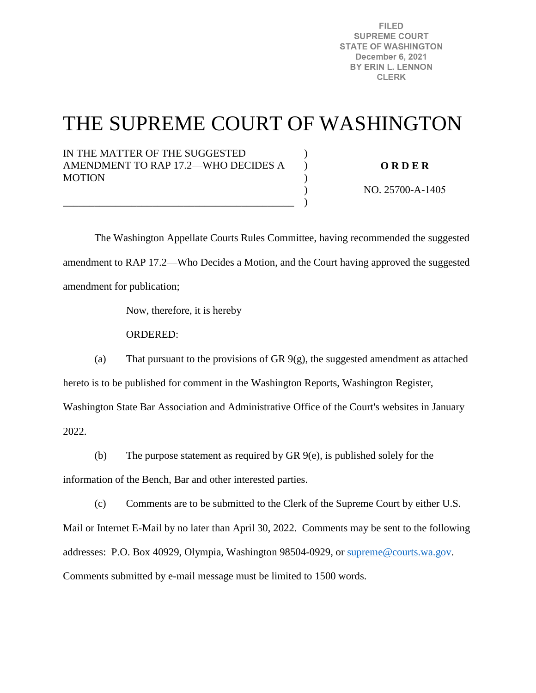**FILED SUPREME COURT STATE OF WASHINGTON** December 6, 2021 BY ERIN L. LENNON **CLERK** 

# THE SUPREME COURT OF WASHINGTON

) ) ) ) )

IN THE MATTER OF THE SUGGESTED AMENDMENT TO RAP 17.2—WHO DECIDES A **MOTION** 

\_\_\_\_\_\_\_\_\_\_\_\_\_\_\_\_\_\_\_\_\_\_\_\_\_\_\_\_\_\_\_\_\_\_\_\_\_\_\_\_\_\_\_\_

**O R D E R** 

NO. 25700-A-1405

 The Washington Appellate Courts Rules Committee, having recommended the suggested amendment to RAP 17.2—Who Decides a Motion, and the Court having approved the suggested amendment for publication;

Now, therefore, it is hereby

ORDERED:

(a) That pursuant to the provisions of GR 9(g), the suggested amendment as attached hereto is to be published for comment in the Washington Reports, Washington Register, Washington State Bar Association and Administrative Office of the Court's websites in January

2022.

(b) The purpose statement as required by GR 9(e), is published solely for the

information of the Bench, Bar and other interested parties.

(c) Comments are to be submitted to the Clerk of the Supreme Court by either U.S.

Mail or Internet E-Mail by no later than April 30, 2022. Comments may be sent to the following addresses: P.O. Box 40929, Olympia, Washington 98504-0929, or [supreme@courts.wa.gov.](mailto:supreme@courts.wa.gov) Comments submitted by e-mail message must be limited to 1500 words.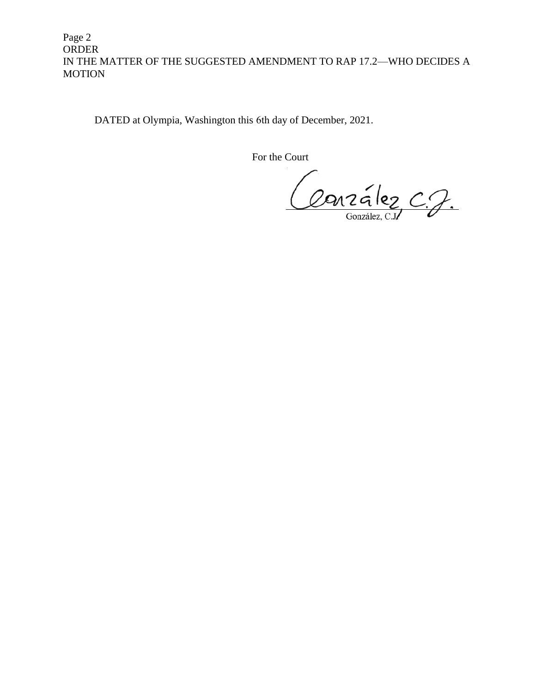Page 2 ORDER IN THE MATTER OF THE SUGGESTED AMENDMENT TO RAP 17.2—WHO DECIDES A MOTION

DATED at Olympia, Washington this 6th day of December, 2021.

For the Court

Conzélez C.J.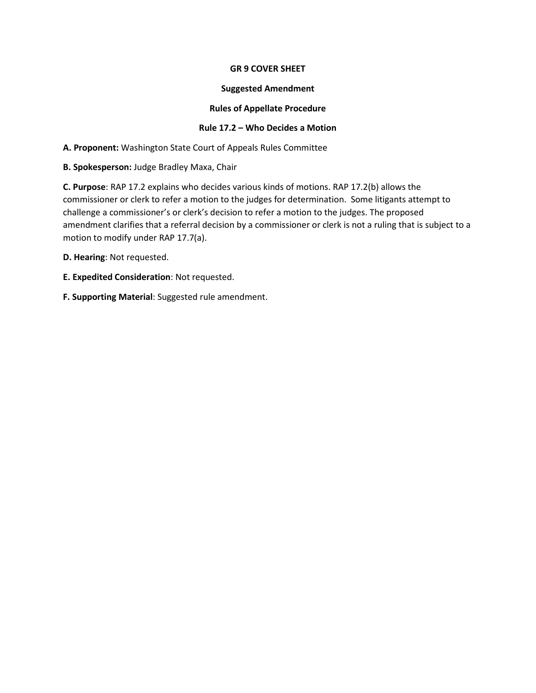### **GR 9 COVER SHEET**

#### **Suggested Amendment**

### **Rules of Appellate Procedure**

## **Rule 17.2 – Who Decides a Motion**

**A. Proponent:** Washington State Court of Appeals Rules Committee

**B. Spokesperson:** Judge Bradley Maxa, Chair

**C. Purpose**: RAP 17.2 explains who decides various kinds of motions. RAP 17.2(b) allows the commissioner or clerk to refer a motion to the judges for determination. Some litigants attempt to challenge a commissioner's or clerk's decision to refer a motion to the judges. The proposed amendment clarifies that a referral decision by a commissioner or clerk is not a ruling that is subject to a motion to modify under RAP 17.7(a).

**D. Hearing**: Not requested.

**E. Expedited Consideration**: Not requested.

**F. Supporting Material**: Suggested rule amendment.